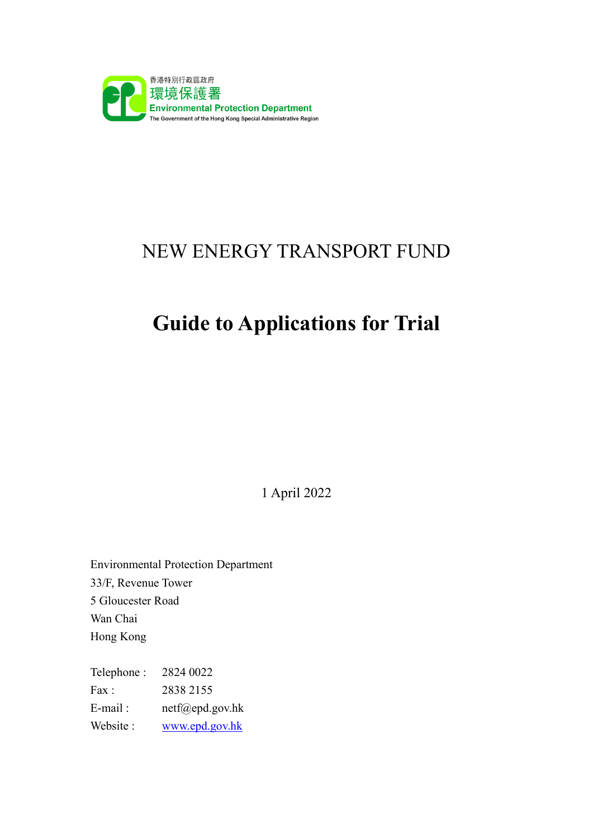

## NEW ENERGY TRANSPORT FUND

# **Guide to Applications for Trial**

1 April 2022

Environmental Protection Department 33/F, Revenue Tower 5 Gloucester Road Wan Chai Hong Kong

Telephone : 2824 0022 Fax: 2838 2155 E-mail : netf@epd.gov.hk Website : [www.epd.gov.hk](file://///10.17.59.180/Section2_shared/PGTF%20Webpages/Files%20Uploaded/Application/Guide%20to%20Application/20190918/AppData/Local/Temp/AppData/Local/Documents%20and%20Settings/Documents%20and%20Settings/eas24/Local%20Settings/Temp/notesFFF692/www.epd.gov.hk)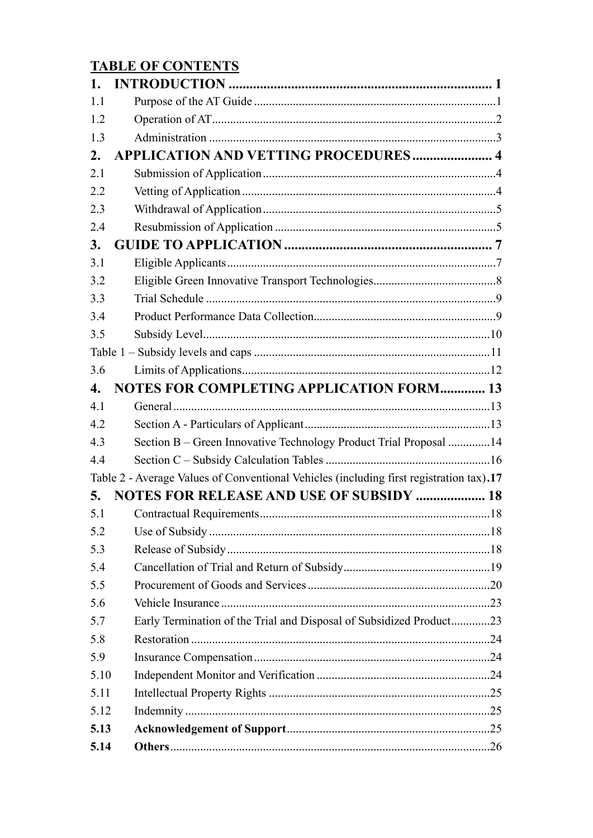### **TABLE OF CONTENTS**

| 1.   |                                                                                         |  |
|------|-----------------------------------------------------------------------------------------|--|
| 1.1  |                                                                                         |  |
| 1.2  |                                                                                         |  |
| 1.3  |                                                                                         |  |
| 2.   | <b>APPLICATION AND VETTING PROCEDURES 4</b>                                             |  |
| 2.1  |                                                                                         |  |
| 2.2  |                                                                                         |  |
| 2.3  |                                                                                         |  |
| 2.4  |                                                                                         |  |
| 3.   |                                                                                         |  |
| 3.1  |                                                                                         |  |
| 3.2  |                                                                                         |  |
| 3.3  |                                                                                         |  |
| 3.4  |                                                                                         |  |
| 3.5  |                                                                                         |  |
|      |                                                                                         |  |
| 3.6  |                                                                                         |  |
| 4.   | <b>NOTES FOR COMPLETING APPLICATION FORM 13</b>                                         |  |
| 4.1  |                                                                                         |  |
| 4.2  |                                                                                         |  |
| 4.3  | Section B – Green Innovative Technology Product Trial Proposal 14                       |  |
| 4.4  |                                                                                         |  |
|      | Table 2 - Average Values of Conventional Vehicles (including first registration tax).17 |  |
| 5.   | <b>NOTES FOR RELEASE AND USE OF SUBSIDY  18</b>                                         |  |
| 5.1  |                                                                                         |  |
| 5.2  |                                                                                         |  |
| 5.3  |                                                                                         |  |
| 5.4  |                                                                                         |  |
| 5.5  |                                                                                         |  |
| 5.6  |                                                                                         |  |
| 5.7  | Early Termination of the Trial and Disposal of Subsidized Product23                     |  |
| 5.8  |                                                                                         |  |
| 5.9  |                                                                                         |  |
| 5.10 |                                                                                         |  |
| 5.11 |                                                                                         |  |
| 5.12 |                                                                                         |  |
| 5.13 |                                                                                         |  |
| 5.14 |                                                                                         |  |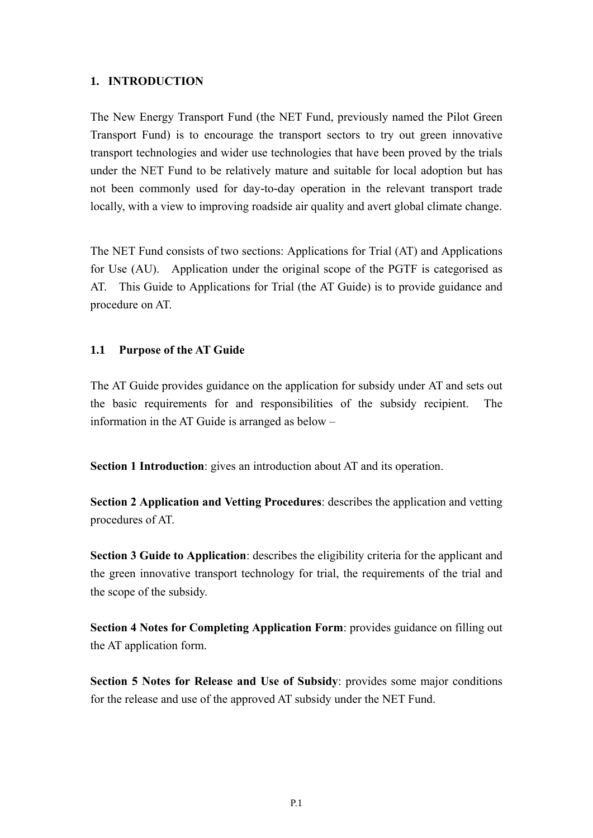#### **1. INTRODUCTION**

The New Energy Transport Fund (the NET Fund, previously named the Pilot Green Transport Fund) is to encourage the transport sectors to try out green innovative transport technologies and wider use technologies that have been proved by the trials under the NET Fund to be relatively mature and suitable for local adoption but has not been commonly used for day-to-day operation in the relevant transport trade locally, with a view to improving roadside air quality and avert global climate change.

The NET Fund consists of two sections: Applications for Trial (AT) and Applications for Use (AU). Application under the original scope of the PGTF is categorised as AT. This Guide to Applications for Trial (the AT Guide) is to provide guidance and procedure on AT.

#### **1.1 Purpose of the AT Guide**

The AT Guide provides guidance on the application for subsidy under AT and sets out the basic requirements for and responsibilities of the subsidy recipient. The information in the AT Guide is arranged as below –

**Section 1 Introduction**: gives an introduction about AT and its operation.

**Section 2 Application and Vetting Procedures**: describes the application and vetting procedures of AT.

**Section 3 Guide to Application**: describes the eligibility criteria for the applicant and the green innovative transport technology for trial, the requirements of the trial and the scope of the subsidy.

**Section 4 Notes for Completing Application Form**: provides guidance on filling out the AT application form.

**Section 5 Notes for Release and Use of Subsidy**: provides some major conditions for the release and use of the approved AT subsidy under the NET Fund.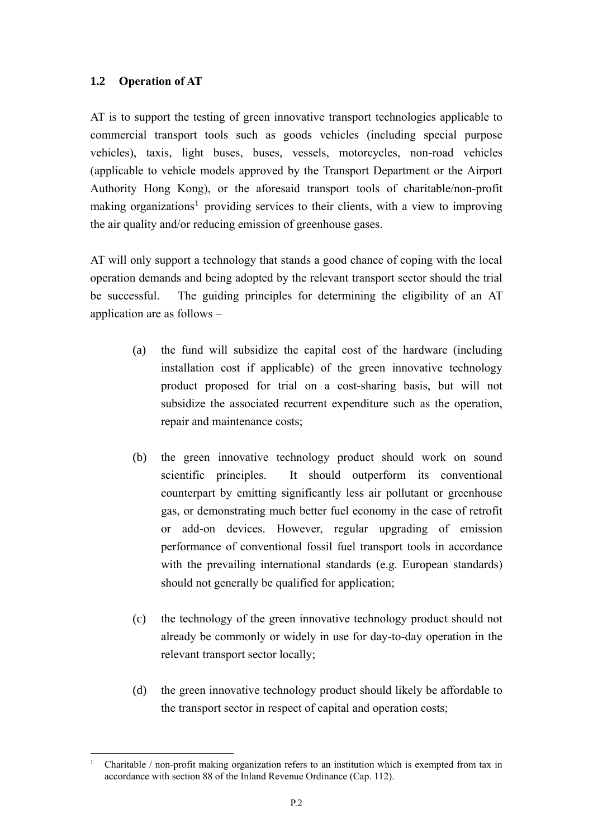#### **1.2 Operation of AT**

AT is to support the testing of green innovative transport technologies applicable to commercial transport tools such as goods vehicles (including special purpose vehicles), taxis, light buses, buses, vessels, motorcycles, non-road vehicles (applicable to vehicle models approved by the Transport Department or the Airport Authority Hong Kong), or the aforesaid transport tools of charitable/non-profit making organizations<sup>1</sup> providing services to their clients, with a view to improving the air quality and/or reducing emission of greenhouse gases.

AT will only support a technology that stands a good chance of coping with the local operation demands and being adopted by the relevant transport sector should the trial be successful. The guiding principles for determining the eligibility of an AT application are as follows –

- (a) the fund will subsidize the capital cost of the hardware (including installation cost if applicable) of the green innovative technology product proposed for trial on a cost-sharing basis, but will not subsidize the associated recurrent expenditure such as the operation, repair and maintenance costs;
- (b) the green innovative technology product should work on sound scientific principles. It should outperform its conventional counterpart by emitting significantly less air pollutant or greenhouse gas, or demonstrating much better fuel economy in the case of retrofit or add-on devices. However, regular upgrading of emission performance of conventional fossil fuel transport tools in accordance with the prevailing international standards (e.g. European standards) should not generally be qualified for application;
- (c) the technology of the green innovative technology product should not already be commonly or widely in use for day-to-day operation in the relevant transport sector locally;
- (d) the green innovative technology product should likely be affordable to the transport sector in respect of capital and operation costs;

<sup>1</sup> <sup>1</sup> Charitable / non-profit making organization refers to an institution which is exempted from tax in accordance with section 88 of the Inland Revenue Ordinance (Cap. 112).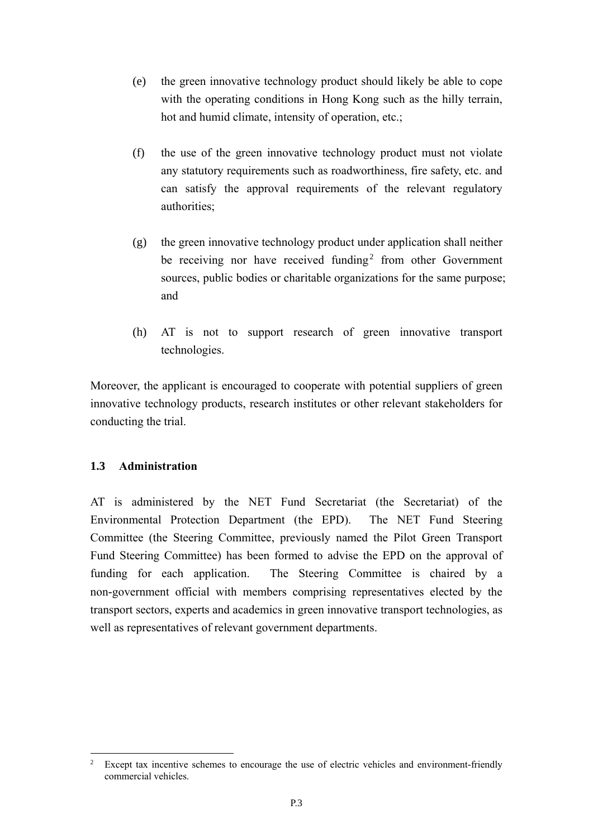- (e) the green innovative technology product should likely be able to cope with the operating conditions in Hong Kong such as the hilly terrain, hot and humid climate, intensity of operation, etc.;
- (f) the use of the green innovative technology product must not violate any statutory requirements such as roadworthiness, fire safety, etc. and can satisfy the approval requirements of the relevant regulatory authorities;
- (g) the green innovative technology product under application shall neither be receiving nor have received funding<sup>2</sup> from other Government sources, public bodies or charitable organizations for the same purpose; and
- (h) AT is not to support research of green innovative transport technologies.

Moreover, the applicant is encouraged to cooperate with potential suppliers of green innovative technology products, research institutes or other relevant stakeholders for conducting the trial.

#### **1.3 Administration**

1

AT is administered by the NET Fund Secretariat (the Secretariat) of the Environmental Protection Department (the EPD). The NET Fund Steering Committee (the Steering Committee, previously named the Pilot Green Transport Fund Steering Committee) has been formed to advise the EPD on the approval of funding for each application. The Steering Committee is chaired by a non-government official with members comprising representatives elected by the transport sectors, experts and academics in green innovative transport technologies, as well as representatives of relevant government departments.

<sup>&</sup>lt;sup>2</sup> Except tax incentive schemes to encourage the use of electric vehicles and environment-friendly commercial vehicles.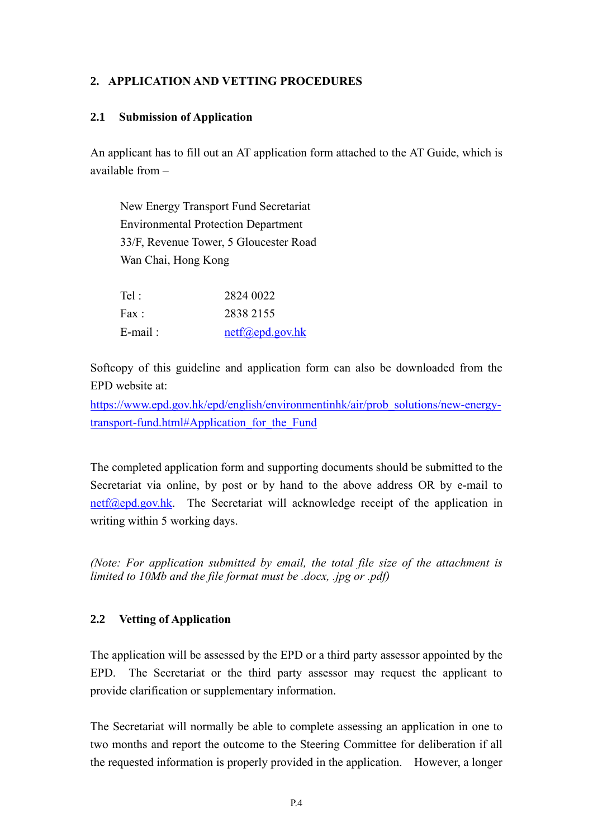#### **2. APPLICATION AND VETTING PROCEDURES**

#### **2.1 Submission of Application**

An applicant has to fill out an AT application form attached to the AT Guide, which is available from –

New Energy Transport Fund Secretariat Environmental Protection Department 33/F, Revenue Tower, 5 Gloucester Road Wan Chai, Hong Kong

| Tel:       | 2824 0022                 |
|------------|---------------------------|
| Fax:       | 2838 2155                 |
| $E$ -mail: | $netf(\omega)$ epd.gov.hk |

Softcopy of this guideline and application form can also be downloaded from the EPD website at:

[https://www.epd.gov.hk/epd/english/environmentinhk/air/prob\\_solutions/new-energy](https://www.epd.gov.hk/epd/english/environmentinhk/air/prob_solutions/new-energy-transport-fund.html#Application_for_the_Fund)transport-fund.html#Application for the Fund

The completed application form and supporting documents should be submitted to the Secretariat via online, by post or by hand to the above address OR by e-mail to  $net(\omega_{\text{epd.gov.hk}})$ . The Secretariat will acknowledge receipt of the application in writing within 5 working days.

*(Note: For application submitted by email, the total file size of the attachment is limited to 10Mb and the file format must be .docx, .jpg or .pdf)*

#### **2.2 Vetting of Application**

The application will be assessed by the EPD or a third party assessor appointed by the EPD. The Secretariat or the third party assessor may request the applicant to provide clarification or supplementary information.

The Secretariat will normally be able to complete assessing an application in one to two months and report the outcome to the Steering Committee for deliberation if all the requested information is properly provided in the application. However, a longer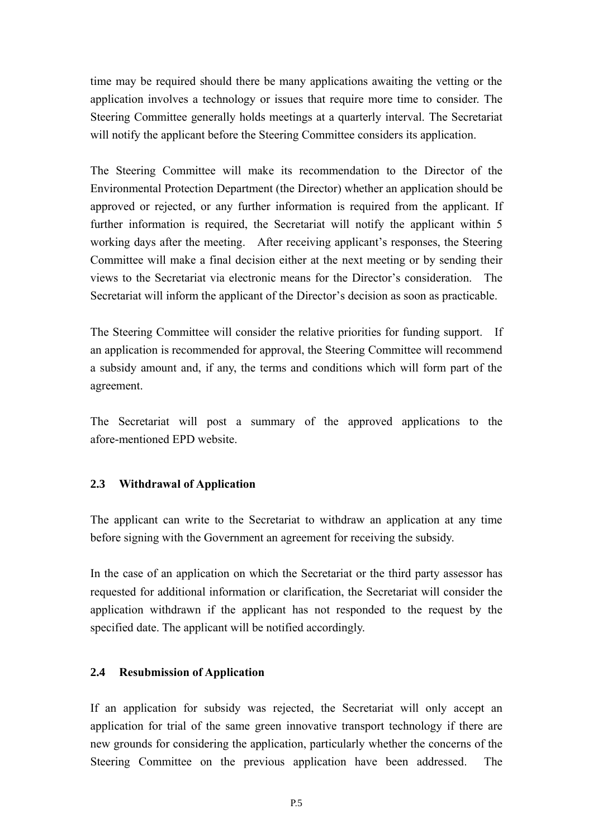time may be required should there be many applications awaiting the vetting or the application involves a technology or issues that require more time to consider. The Steering Committee generally holds meetings at a quarterly interval. The Secretariat will notify the applicant before the Steering Committee considers its application.

The Steering Committee will make its recommendation to the Director of the Environmental Protection Department (the Director) whether an application should be approved or rejected, or any further information is required from the applicant. If further information is required, the Secretariat will notify the applicant within 5 working days after the meeting. After receiving applicant's responses, the Steering Committee will make a final decision either at the next meeting or by sending their views to the Secretariat via electronic means for the Director's consideration. The Secretariat will inform the applicant of the Director's decision as soon as practicable.

The Steering Committee will consider the relative priorities for funding support. If an application is recommended for approval, the Steering Committee will recommend a subsidy amount and, if any, the terms and conditions which will form part of the agreement.

The Secretariat will post a summary of the approved applications to the afore-mentioned EPD website.

#### **2.3 Withdrawal of Application**

The applicant can write to the Secretariat to withdraw an application at any time before signing with the Government an agreement for receiving the subsidy.

In the case of an application on which the Secretariat or the third party assessor has requested for additional information or clarification, the Secretariat will consider the application withdrawn if the applicant has not responded to the request by the specified date. The applicant will be notified accordingly.

#### **2.4 Resubmission of Application**

If an application for subsidy was rejected, the Secretariat will only accept an application for trial of the same green innovative transport technology if there are new grounds for considering the application, particularly whether the concerns of the Steering Committee on the previous application have been addressed. The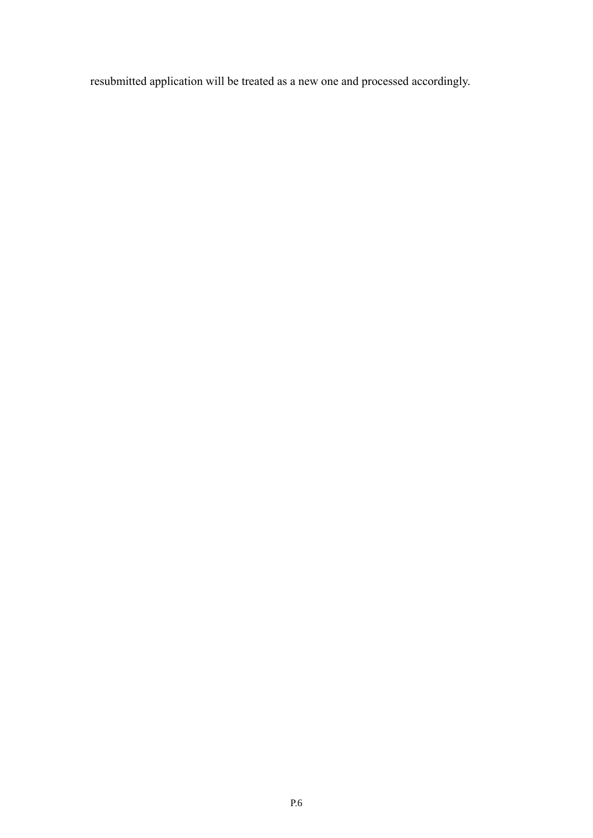resubmitted application will be treated as a new one and processed accordingly.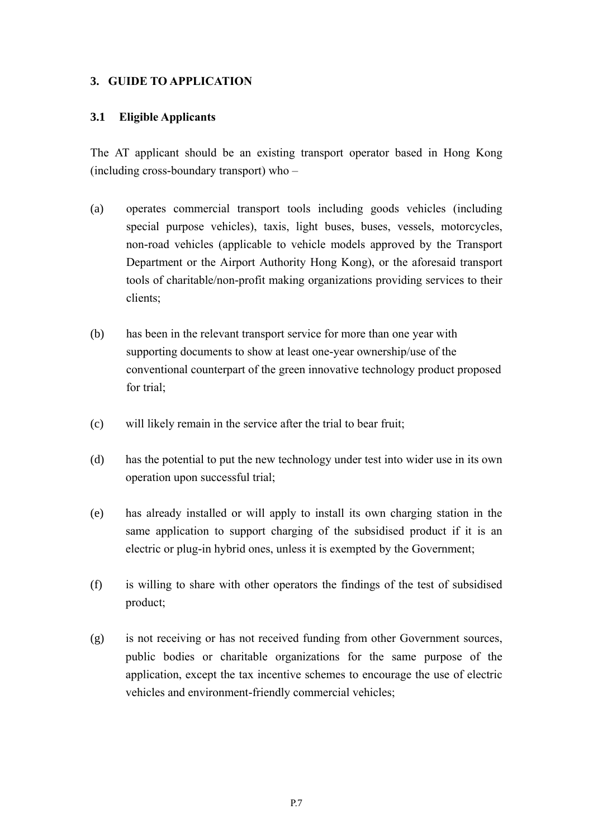#### **3. GUIDE TO APPLICATION**

#### **3.1 Eligible Applicants**

The AT applicant should be an existing transport operator based in Hong Kong (including cross-boundary transport) who –

- (a) operates commercial transport tools including goods vehicles (including special purpose vehicles), taxis, light buses, buses, vessels, motorcycles, non-road vehicles (applicable to vehicle models approved by the Transport Department or the Airport Authority Hong Kong), or the aforesaid transport tools of charitable/non-profit making organizations providing services to their clients;
- (b) has been in the relevant transport service for more than one year with supporting documents to show at least one-year ownership/use of the conventional counterpart of the green innovative technology product proposed for trial;
- (c) will likely remain in the service after the trial to bear fruit;
- (d) has the potential to put the new technology under test into wider use in its own operation upon successful trial;
- (e) has already installed or will apply to install its own charging station in the same application to support charging of the subsidised product if it is an electric or plug-in hybrid ones, unless it is exempted by the Government;
- (f) is willing to share with other operators the findings of the test of subsidised product;
- (g) is not receiving or has not received funding from other Government sources, public bodies or charitable organizations for the same purpose of the application, except the tax incentive schemes to encourage the use of electric vehicles and environment-friendly commercial vehicles;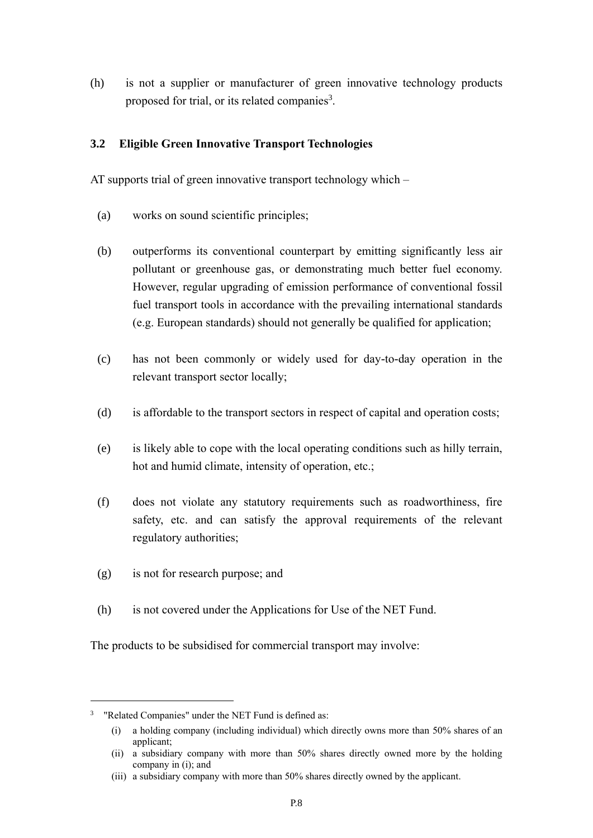(h) is not a supplier or manufacturer of green innovative technology products proposed for trial, or its related companies<sup>3</sup>.

#### **3.2 Eligible Green Innovative Transport Technologies**

AT supports trial of green innovative transport technology which –

- (a) works on sound scientific principles;
- (b) outperforms its conventional counterpart by emitting significantly less air pollutant or greenhouse gas, or demonstrating much better fuel economy. However, regular upgrading of emission performance of conventional fossil fuel transport tools in accordance with the prevailing international standards (e.g. European standards) should not generally be qualified for application;
- (c) has not been commonly or widely used for day-to-day operation in the relevant transport sector locally;
- (d) is affordable to the transport sectors in respect of capital and operation costs;
- (e) is likely able to cope with the local operating conditions such as hilly terrain, hot and humid climate, intensity of operation, etc.;
- (f) does not violate any statutory requirements such as roadworthiness, fire safety, etc. and can satisfy the approval requirements of the relevant regulatory authorities;
- (g) is not for research purpose; and
- (h) is not covered under the Applications for Use of the NET Fund.

The products to be subsidised for commercial transport may involve:

1

<sup>&</sup>lt;sup>3</sup> "Related Companies" under the NET Fund is defined as:

<sup>(</sup>i) a holding company (including individual) which directly owns more than 50% shares of an applicant;

<sup>(</sup>ii) a subsidiary company with more than 50% shares directly owned more by the holding company in (i); and

<sup>(</sup>iii) a subsidiary company with more than 50% shares directly owned by the applicant.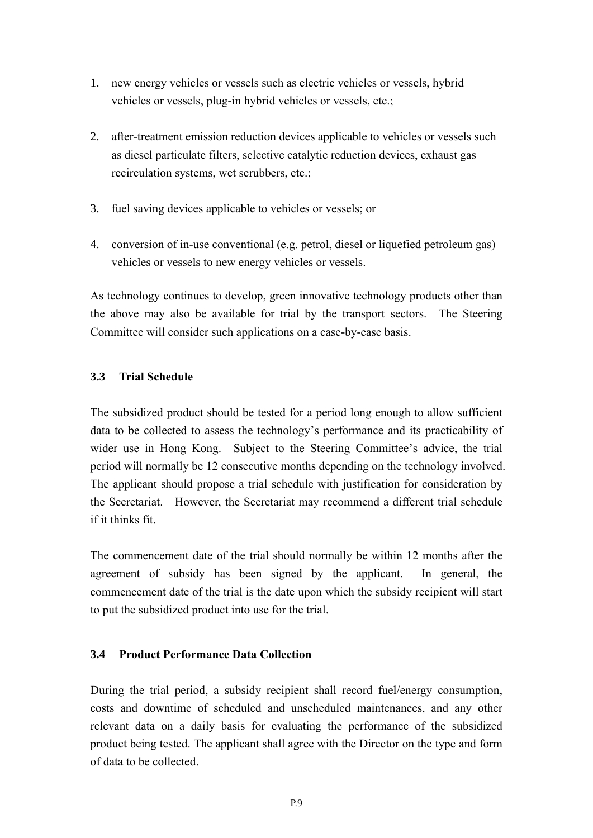- 1. new energy vehicles or vessels such as electric vehicles or vessels, hybrid vehicles or vessels, plug-in hybrid vehicles or vessels, etc.;
- 2. after-treatment emission reduction devices applicable to vehicles or vessels such as diesel particulate filters, selective catalytic reduction devices, exhaust gas recirculation systems, wet scrubbers, etc.;
- 3. fuel saving devices applicable to vehicles or vessels; or
- 4. conversion of in-use conventional (e.g. petrol, diesel or liquefied petroleum gas) vehicles or vessels to new energy vehicles or vessels.

As technology continues to develop, green innovative technology products other than the above may also be available for trial by the transport sectors. The Steering Committee will consider such applications on a case-by-case basis.

#### **3.3 Trial Schedule**

The subsidized product should be tested for a period long enough to allow sufficient data to be collected to assess the technology's performance and its practicability of wider use in Hong Kong. Subject to the Steering Committee's advice, the trial period will normally be 12 consecutive months depending on the technology involved. The applicant should propose a trial schedule with justification for consideration by the Secretariat. However, the Secretariat may recommend a different trial schedule if it thinks fit.

The commencement date of the trial should normally be within 12 months after the agreement of subsidy has been signed by the applicant. In general, the commencement date of the trial is the date upon which the subsidy recipient will start to put the subsidized product into use for the trial.

#### **3.4 Product Performance Data Collection**

During the trial period, a subsidy recipient shall record fuel/energy consumption, costs and downtime of scheduled and unscheduled maintenances, and any other relevant data on a daily basis for evaluating the performance of the subsidized product being tested. The applicant shall agree with the Director on the type and form of data to be collected.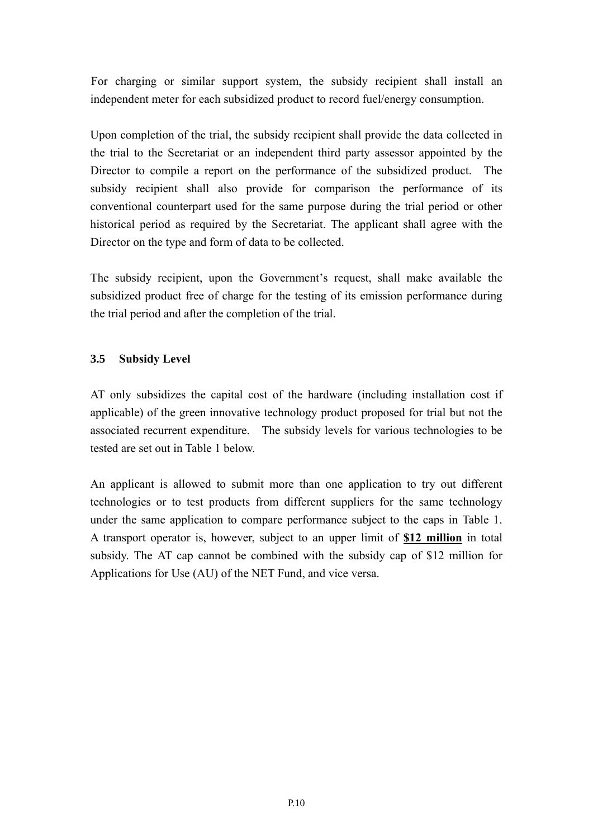For charging or similar support system, the subsidy recipient shall install an independent meter for each subsidized product to record fuel/energy consumption.

Upon completion of the trial, the subsidy recipient shall provide the data collected in the trial to the Secretariat or an independent third party assessor appointed by the Director to compile a report on the performance of the subsidized product. The subsidy recipient shall also provide for comparison the performance of its conventional counterpart used for the same purpose during the trial period or other historical period as required by the Secretariat. The applicant shall agree with the Director on the type and form of data to be collected.

The subsidy recipient, upon the Government's request, shall make available the subsidized product free of charge for the testing of its emission performance during the trial period and after the completion of the trial.

#### **3.5 Subsidy Level**

AT only subsidizes the capital cost of the hardware (including installation cost if applicable) of the green innovative technology product proposed for trial but not the associated recurrent expenditure. The subsidy levels for various technologies to be tested are set out in Table 1 below.

An applicant is allowed to submit more than one application to try out different technologies or to test products from different suppliers for the same technology under the same application to compare performance subject to the caps in Table 1. A transport operator is, however, subject to an upper limit of **\$12 million** in total subsidy. The AT cap cannot be combined with the subsidy cap of \$12 million for Applications for Use (AU) of the NET Fund, and vice versa.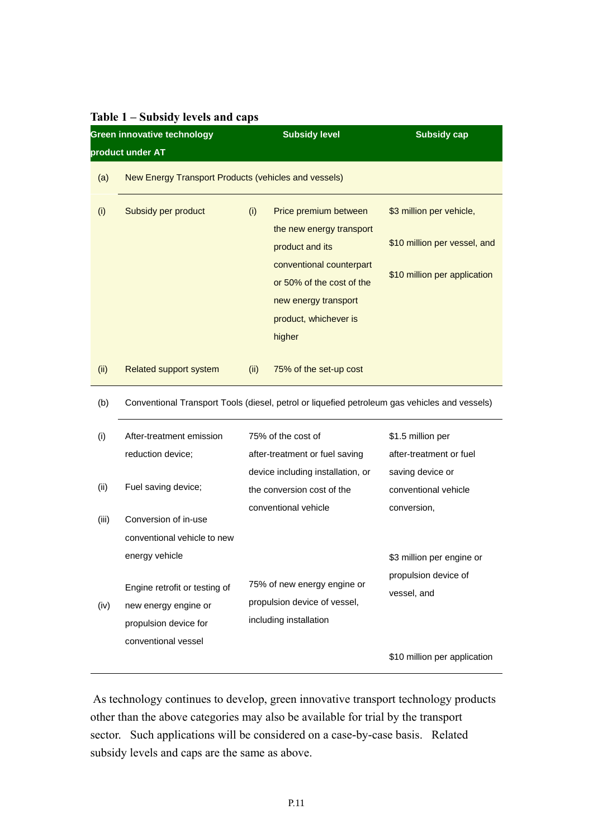| Green innovative technology |                                                                                               |      | <b>Subsidy level</b>                                  | <b>Subsidy cap</b>           |  |
|-----------------------------|-----------------------------------------------------------------------------------------------|------|-------------------------------------------------------|------------------------------|--|
|                             | product under AT                                                                              |      |                                                       |                              |  |
| (a)                         | New Energy Transport Products (vehicles and vessels)                                          |      |                                                       |                              |  |
| (i)                         | Subsidy per product                                                                           | (i)  | Price premium between<br>the new energy transport     | \$3 million per vehicle,     |  |
|                             |                                                                                               |      | product and its                                       | \$10 million per vessel, and |  |
|                             |                                                                                               |      | conventional counterpart<br>or 50% of the cost of the | \$10 million per application |  |
|                             |                                                                                               |      | new energy transport                                  |                              |  |
|                             |                                                                                               |      | product, whichever is                                 |                              |  |
|                             |                                                                                               |      | higher                                                |                              |  |
| (ii)                        | Related support system                                                                        | (ii) | 75% of the set-up cost                                |                              |  |
| (b)                         | Conventional Transport Tools (diesel, petrol or liquefied petroleum gas vehicles and vessels) |      |                                                       |                              |  |
| (i)                         | After-treatment emission                                                                      |      | 75% of the cost of                                    | \$1.5 million per            |  |
|                             | reduction device;                                                                             |      | after-treatment or fuel saving                        | after-treatment or fuel      |  |
|                             |                                                                                               |      | device including installation, or                     | saving device or             |  |
| (ii)                        | Fuel saving device;                                                                           |      | the conversion cost of the                            | conventional vehicle         |  |
| (iii)                       | Conversion of in-use                                                                          |      | conventional vehicle                                  | conversion,                  |  |
|                             | conventional vehicle to new                                                                   |      |                                                       |                              |  |
|                             | energy vehicle                                                                                |      |                                                       | \$3 million per engine or    |  |
|                             |                                                                                               |      |                                                       | propulsion device of         |  |
|                             | Engine retrofit or testing of                                                                 |      | 75% of new energy engine or                           | vessel, and                  |  |
| (iv)                        | new energy engine or                                                                          |      | propulsion device of vessel,                          |                              |  |
|                             | propulsion device for                                                                         |      | including installation                                |                              |  |
|                             | conventional vessel                                                                           |      |                                                       |                              |  |
|                             |                                                                                               |      |                                                       | \$10 million per application |  |

#### **Table 1 – Subsidy levels and caps**

As technology continues to develop, green innovative transport technology products other than the above categories may also be available for trial by the transport sector. Such applications will be considered on a case-by-case basis. Related subsidy levels and caps are the same as above.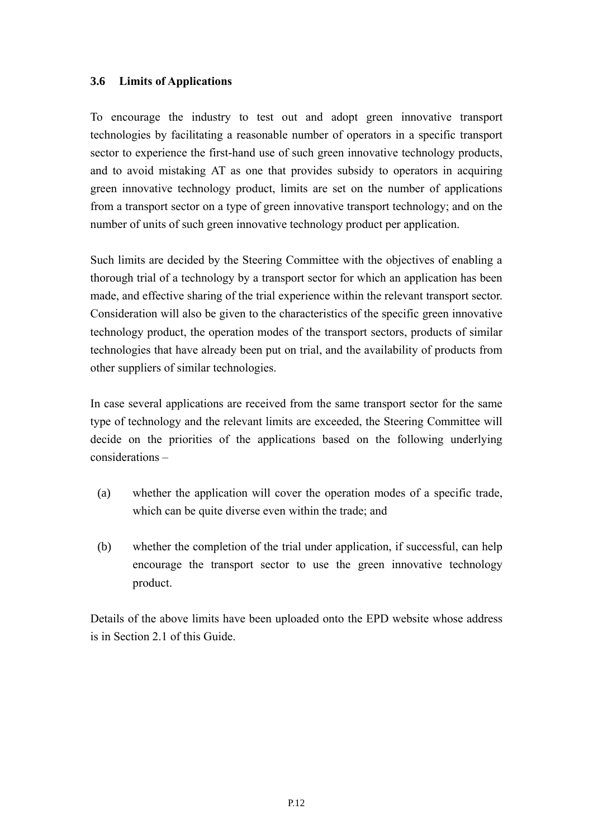#### **3.6 Limits of Applications**

To encourage the industry to test out and adopt green innovative transport technologies by facilitating a reasonable number of operators in a specific transport sector to experience the first-hand use of such green innovative technology products, and to avoid mistaking AT as one that provides subsidy to operators in acquiring green innovative technology product, limits are set on the number of applications from a transport sector on a type of green innovative transport technology; and on the number of units of such green innovative technology product per application.

Such limits are decided by the Steering Committee with the objectives of enabling a thorough trial of a technology by a transport sector for which an application has been made, and effective sharing of the trial experience within the relevant transport sector. Consideration will also be given to the characteristics of the specific green innovative technology product, the operation modes of the transport sectors, products of similar technologies that have already been put on trial, and the availability of products from other suppliers of similar technologies.

In case several applications are received from the same transport sector for the same type of technology and the relevant limits are exceeded, the Steering Committee will decide on the priorities of the applications based on the following underlying considerations –

- (a) whether the application will cover the operation modes of a specific trade, which can be quite diverse even within the trade; and
- (b) whether the completion of the trial under application, if successful, can help encourage the transport sector to use the green innovative technology product.

Details of the above limits have been uploaded onto the EPD website whose address is in Section 2.1 of this Guide.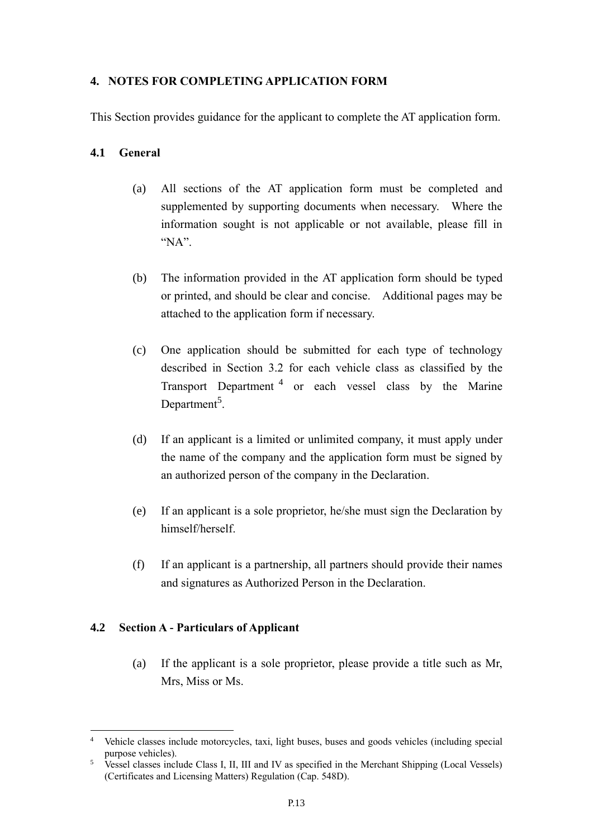#### **4. NOTES FOR COMPLETING APPLICATION FORM**

This Section provides guidance for the applicant to complete the AT application form.

#### **4.1 General**

- (a) All sections of the AT application form must be completed and supplemented by supporting documents when necessary. Where the information sought is not applicable or not available, please fill in "NA".
- (b) The information provided in the AT application form should be typed or printed, and should be clear and concise. Additional pages may be attached to the application form if necessary.
- (c) One application should be submitted for each type of technology described in Section 3.2 for each vehicle class as classified by the Transport Department<sup>4</sup> or each vessel class by the Marine Department<sup>5</sup>.
- (d) If an applicant is a limited or unlimited company, it must apply under the name of the company and the application form must be signed by an authorized person of the company in the Declaration.
- (e) If an applicant is a sole proprietor, he/she must sign the Declaration by himself/herself.
- (f) If an applicant is a partnership, all partners should provide their names and signatures as Authorized Person in the Declaration.

#### **4.2 Section A - Particulars of Applicant**

(a) If the applicant is a sole proprietor, please provide a title such as Mr, Mrs, Miss or Ms.

<sup>1</sup> <sup>4</sup> Vehicle classes include motorcycles, taxi, light buses, buses and goods vehicles (including special purpose vehicles).

<sup>&</sup>lt;sup>5</sup> Vessel classes include Class I, II, III and IV as specified in the Merchant Shipping (Local Vessels) (Certificates and Licensing Matters) Regulation (Cap. 548D).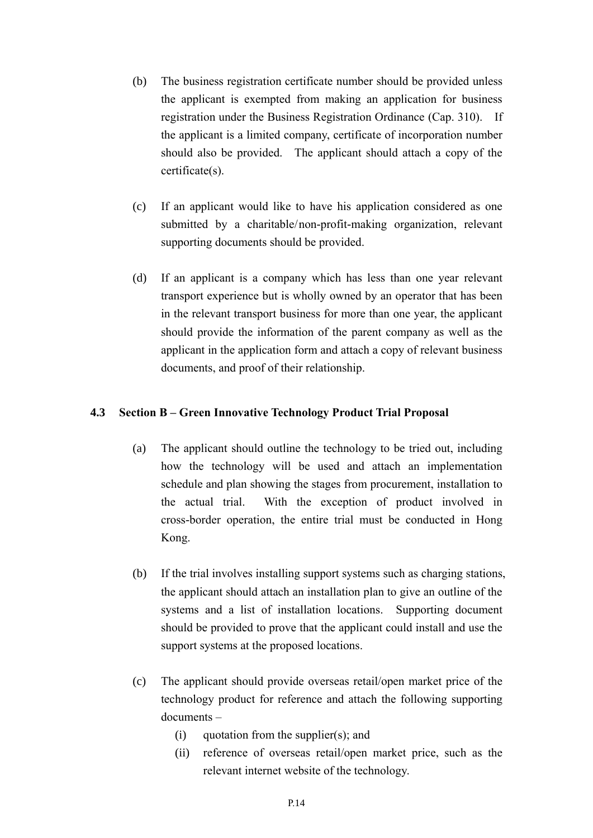- (b) The business registration certificate number should be provided unless the applicant is exempted from making an application for business registration under the Business Registration Ordinance (Cap. 310). If the applicant is a limited company, certificate of incorporation number should also be provided. The applicant should attach a copy of the certificate(s).
- (c) If an applicant would like to have his application considered as one submitted by a charitable/non-profit-making organization, relevant supporting documents should be provided.
- (d) If an applicant is a company which has less than one year relevant transport experience but is wholly owned by an operator that has been in the relevant transport business for more than one year, the applicant should provide the information of the parent company as well as the applicant in the application form and attach a copy of relevant business documents, and proof of their relationship.

#### **4.3 Section B – Green Innovative Technology Product Trial Proposal**

- (a) The applicant should outline the technology to be tried out, including how the technology will be used and attach an implementation schedule and plan showing the stages from procurement, installation to the actual trial. With the exception of product involved in cross-border operation, the entire trial must be conducted in Hong Kong.
- (b) If the trial involves installing support systems such as charging stations, the applicant should attach an installation plan to give an outline of the systems and a list of installation locations. Supporting document should be provided to prove that the applicant could install and use the support systems at the proposed locations.
- (c) The applicant should provide overseas retail/open market price of the technology product for reference and attach the following supporting documents –
	- (i) quotation from the supplier(s); and
	- (ii) reference of overseas retail/open market price, such as the relevant internet website of the technology.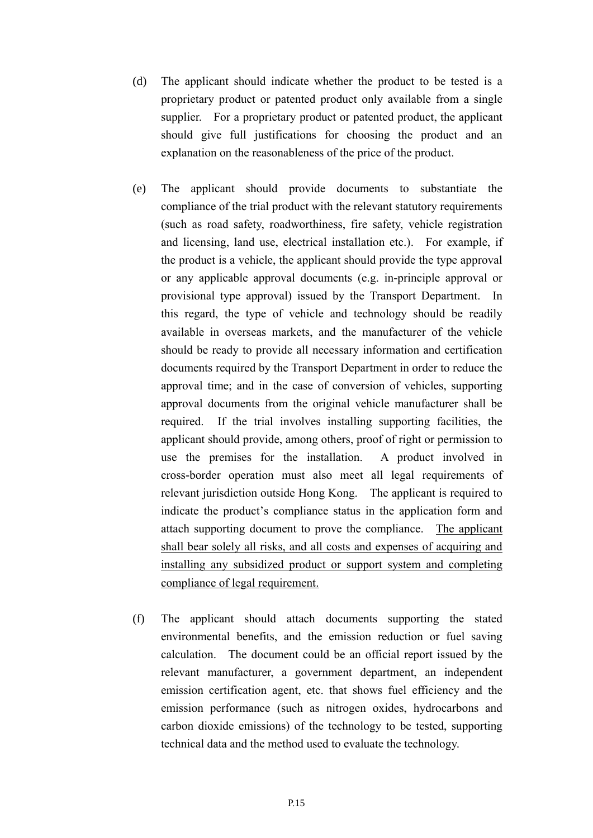- (d) The applicant should indicate whether the product to be tested is a proprietary product or patented product only available from a single supplier. For a proprietary product or patented product, the applicant should give full justifications for choosing the product and an explanation on the reasonableness of the price of the product.
- (e) The applicant should provide documents to substantiate the compliance of the trial product with the relevant statutory requirements (such as road safety, roadworthiness, fire safety, vehicle registration and licensing, land use, electrical installation etc.). For example, if the product is a vehicle, the applicant should provide the type approval or any applicable approval documents (e.g. in-principle approval or provisional type approval) issued by the Transport Department. In this regard, the type of vehicle and technology should be readily available in overseas markets, and the manufacturer of the vehicle should be ready to provide all necessary information and certification documents required by the Transport Department in order to reduce the approval time; and in the case of conversion of vehicles, supporting approval documents from the original vehicle manufacturer shall be required. If the trial involves installing supporting facilities, the applicant should provide, among others, proof of right or permission to use the premises for the installation. A product involved in cross-border operation must also meet all legal requirements of relevant jurisdiction outside Hong Kong. The applicant is required to indicate the product's compliance status in the application form and attach supporting document to prove the compliance. The applicant shall bear solely all risks, and all costs and expenses of acquiring and installing any subsidized product or support system and completing compliance of legal requirement.
- (f) The applicant should attach documents supporting the stated environmental benefits, and the emission reduction or fuel saving calculation. The document could be an official report issued by the relevant manufacturer, a government department, an independent emission certification agent, etc. that shows fuel efficiency and the emission performance (such as nitrogen oxides, hydrocarbons and carbon dioxide emissions) of the technology to be tested, supporting technical data and the method used to evaluate the technology.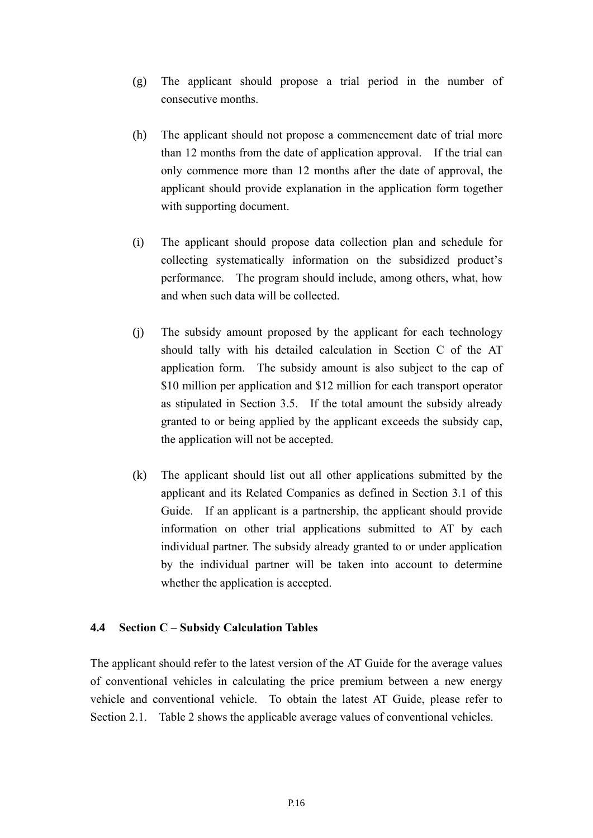- (g) The applicant should propose a trial period in the number of consecutive months.
- (h) The applicant should not propose a commencement date of trial more than 12 months from the date of application approval. If the trial can only commence more than 12 months after the date of approval, the applicant should provide explanation in the application form together with supporting document.
- (i) The applicant should propose data collection plan and schedule for collecting systematically information on the subsidized product's performance. The program should include, among others, what, how and when such data will be collected.
- (j) The subsidy amount proposed by the applicant for each technology should tally with his detailed calculation in Section C of the AT application form. The subsidy amount is also subject to the cap of \$10 million per application and \$12 million for each transport operator as stipulated in Section 3.5. If the total amount the subsidy already granted to or being applied by the applicant exceeds the subsidy cap, the application will not be accepted.
- (k) The applicant should list out all other applications submitted by the applicant and its Related Companies as defined in Section 3.1 of this Guide. If an applicant is a partnership, the applicant should provide information on other trial applications submitted to AT by each individual partner. The subsidy already granted to or under application by the individual partner will be taken into account to determine whether the application is accepted.

#### **4.4 Section C – Subsidy Calculation Tables**

The applicant should refer to the latest version of the AT Guide for the average values of conventional vehicles in calculating the price premium between a new energy vehicle and conventional vehicle. To obtain the latest AT Guide, please refer to Section 2.1. Table 2 shows the applicable average values of conventional vehicles.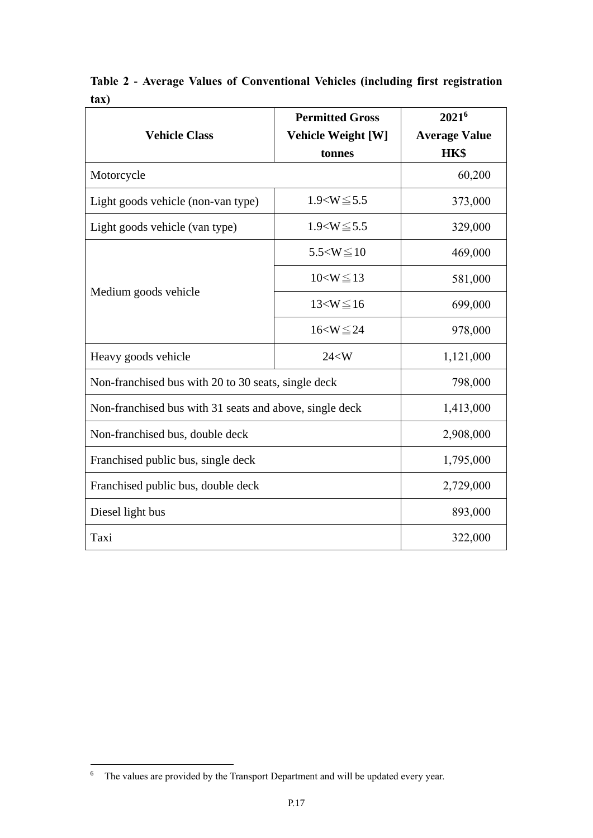| <b>Vehicle Class</b>                                    | <b>Permitted Gross</b>                                                               | 2021 <sup>6</sup><br><b>Average Value</b> |
|---------------------------------------------------------|--------------------------------------------------------------------------------------|-------------------------------------------|
|                                                         | tonnes                                                                               | HK\$                                      |
| Motorcycle                                              |                                                                                      | 60,200                                    |
| Light goods vehicle (non-van type)                      | $1.9 < W \le 5.5$                                                                    | 373,000                                   |
| Light goods vehicle (van type)                          | $1.9 < W \le 5.5$                                                                    |                                           |
|                                                         | $5.5 < W \le 10$<br>$10 < W \le 13$<br>$13 < W \le 16$<br>$16 < W \le 24$<br>$24<$ W | 469,000                                   |
|                                                         |                                                                                      | 581,000                                   |
| Medium goods vehicle                                    |                                                                                      | 699,000                                   |
|                                                         | <b>Vehicle Weight [W]</b>                                                            | 978,000                                   |
| Heavy goods vehicle                                     |                                                                                      | 1,121,000                                 |
| Non-franchised bus with 20 to 30 seats, single deck     | 798,000                                                                              |                                           |
| Non-franchised bus with 31 seats and above, single deck |                                                                                      | 1,413,000                                 |
| Non-franchised bus, double deck                         |                                                                                      | 2,908,000                                 |
| Franchised public bus, single deck                      |                                                                                      | 1,795,000                                 |
| Franchised public bus, double deck                      | 2,729,000                                                                            |                                           |
| Diesel light bus                                        |                                                                                      | 893,000                                   |
| Taxi                                                    |                                                                                      | 322,000                                   |

**Table 2 - Average Values of Conventional Vehicles (including first registration tax)**

<sup>1</sup>  $6$  The values are provided by the Transport Department and will be updated every year.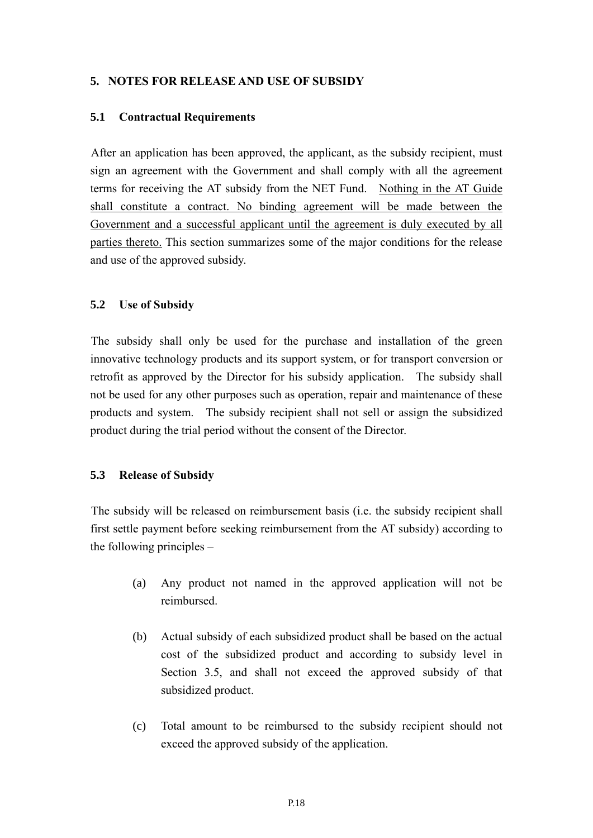#### **5. NOTES FOR RELEASE AND USE OF SUBSIDY**

#### **5.1 Contractual Requirements**

After an application has been approved, the applicant, as the subsidy recipient, must sign an agreement with the Government and shall comply with all the agreement terms for receiving the AT subsidy from the NET Fund. Nothing in the AT Guide shall constitute a contract. No binding agreement will be made between the Government and a successful applicant until the agreement is duly executed by all parties thereto. This section summarizes some of the major conditions for the release and use of the approved subsidy.

#### **5.2 Use of Subsidy**

The subsidy shall only be used for the purchase and installation of the green innovative technology products and its support system, or for transport conversion or retrofit as approved by the Director for his subsidy application. The subsidy shall not be used for any other purposes such as operation, repair and maintenance of these products and system. The subsidy recipient shall not sell or assign the subsidized product during the trial period without the consent of the Director.

#### **5.3 Release of Subsidy**

The subsidy will be released on reimbursement basis (i.e. the subsidy recipient shall first settle payment before seeking reimbursement from the AT subsidy) according to the following principles –

- (a) Any product not named in the approved application will not be reimbursed.
- (b) Actual subsidy of each subsidized product shall be based on the actual cost of the subsidized product and according to subsidy level in Section 3.5, and shall not exceed the approved subsidy of that subsidized product.
- (c) Total amount to be reimbursed to the subsidy recipient should not exceed the approved subsidy of the application.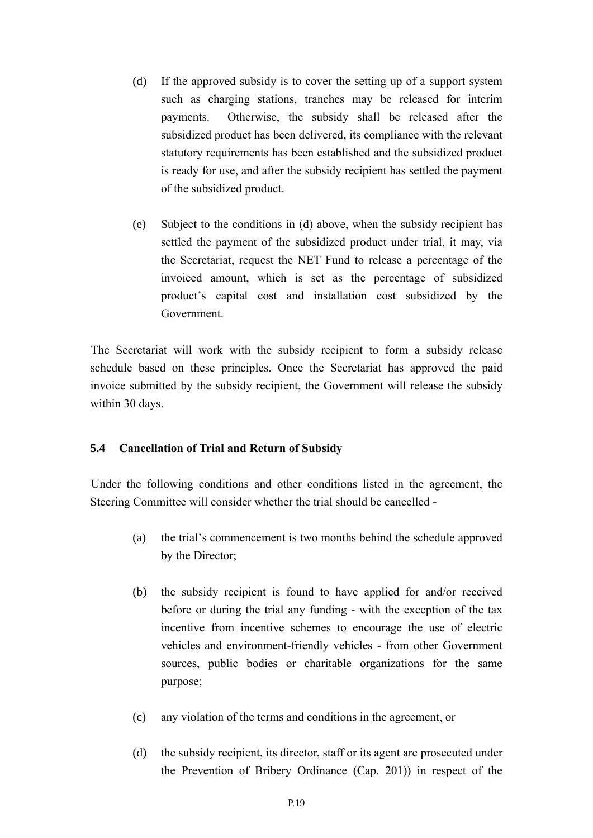- <span id="page-20-0"></span>(d) If the approved subsidy is to cover the setting up of a support system such as charging stations, tranches may be released for interim payments. Otherwise, the subsidy shall be released after the subsidized product has been delivered, its compliance with the relevant statutory requirements has been established and the subsidized product is ready for use, and after the subsidy recipient has settled the payment of the subsidized product.
- (e) Subject to the conditions in [\(d\)](#page-20-0) above, when the subsidy recipient has settled the payment of the subsidized product under trial, it may, via the Secretariat, request the NET Fund to release a percentage of the invoiced amount, which is set as the percentage of subsidized product's capital cost and installation cost subsidized by the Government.

The Secretariat will work with the subsidy recipient to form a subsidy release schedule based on these principles. Once the Secretariat has approved the paid invoice submitted by the subsidy recipient, the Government will release the subsidy within 30 days.

#### **5.4 Cancellation of Trial and Return of Subsidy**

Under the following conditions and other conditions listed in the agreement, the Steering Committee will consider whether the trial should be cancelled -

- (a) the trial's commencement is two months behind the schedule approved by the Director;
- (b) the subsidy recipient is found to have applied for and/or received before or during the trial any funding - with the exception of the tax incentive from incentive schemes to encourage the use of electric vehicles and environment-friendly vehicles - from other Government sources, public bodies or charitable organizations for the same purpose;
- (c) any violation of the terms and conditions in the agreement, or
- (d) the subsidy recipient, its director, staff or its agent are prosecuted under the Prevention of Bribery Ordinance (Cap. 201)) in respect of the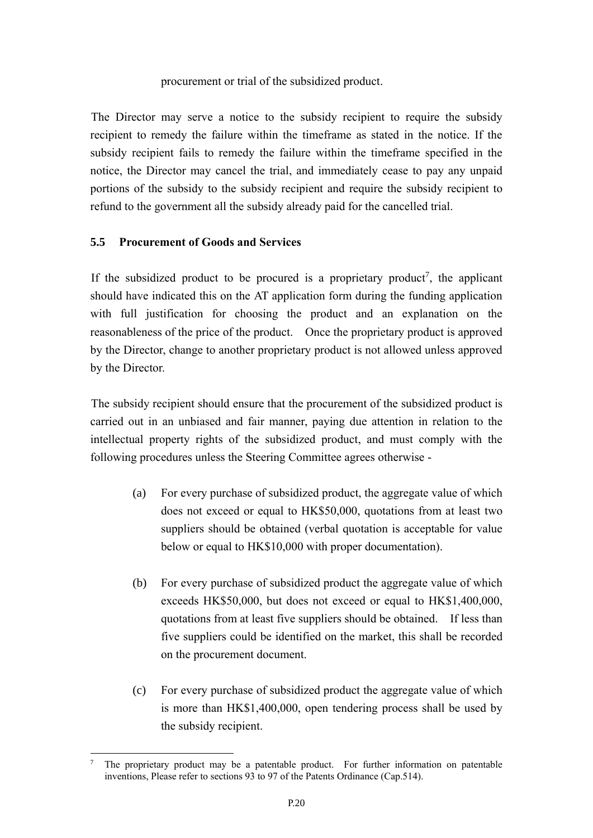#### procurement or trial of the subsidized product.

The Director may serve a notice to the subsidy recipient to require the subsidy recipient to remedy the failure within the timeframe as stated in the notice. If the subsidy recipient fails to remedy the failure within the timeframe specified in the notice, the Director may cancel the trial, and immediately cease to pay any unpaid portions of the subsidy to the subsidy recipient and require the subsidy recipient to refund to the government all the subsidy already paid for the cancelled trial.

#### **5.5 Procurement of Goods and Services**

If the subsidized product to be procured is a proprietary product<sup>7</sup>, the applicant should have indicated this on the AT application form during the funding application with full justification for choosing the product and an explanation on the reasonableness of the price of the product. Once the proprietary product is approved by the Director, change to another proprietary product is not allowed unless approved by the Director.

The subsidy recipient should ensure that the procurement of the subsidized product is carried out in an unbiased and fair manner, paying due attention in relation to the intellectual property rights of the subsidized product, and must comply with the following procedures unless the Steering Committee agrees otherwise -

- (a) For every purchase of subsidized product, the aggregate value of which does not exceed or equal to HK\$50,000, quotations from at least two suppliers should be obtained (verbal quotation is acceptable for value below or equal to HK\$10,000 with proper documentation).
- (b) For every purchase of subsidized product the aggregate value of which exceeds HK\$50,000, but does not exceed or equal to HK\$1,400,000, quotations from at least five suppliers should be obtained. If less than five suppliers could be identified on the market, this shall be recorded on the procurement document.
- (c) For every purchase of subsidized product the aggregate value of which is more than HK\$1,400,000, open tendering process shall be used by the subsidy recipient.

<sup>1</sup> The proprietary product may be a patentable product. For further information on patentable inventions, Please refer to sections 93 to 97 of the Patents Ordinance (Cap.514).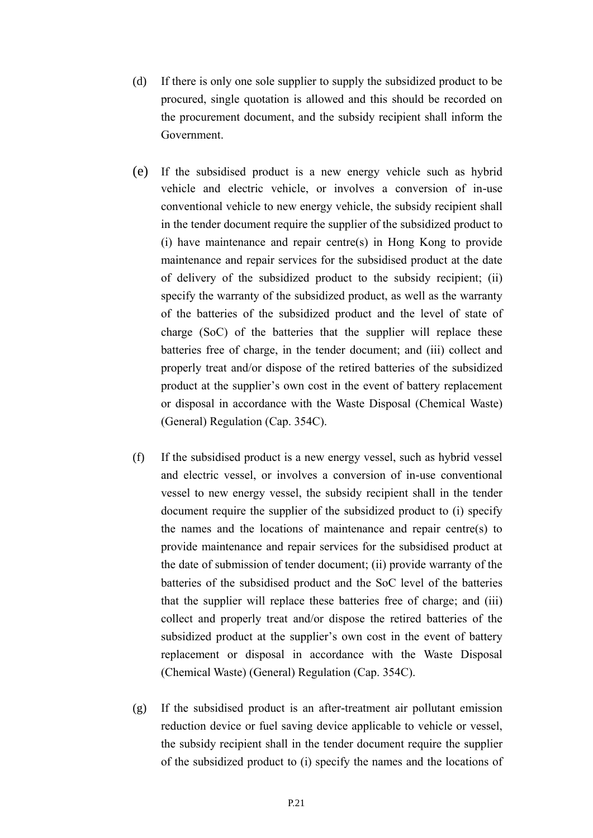- (d) If there is only one sole supplier to supply the subsidized product to be procured, single quotation is allowed and this should be recorded on the procurement document, and the subsidy recipient shall inform the Government.
- (e) If the subsidised product is a new energy vehicle such as hybrid vehicle and electric vehicle, or involves a conversion of in-use conventional vehicle to new energy vehicle, the subsidy recipient shall in the tender document require the supplier of the subsidized product to (i) have maintenance and repair centre(s) in Hong Kong to provide maintenance and repair services for the subsidised product at the date of delivery of the subsidized product to the subsidy recipient; (ii) specify the warranty of the subsidized product, as well as the warranty of the batteries of the subsidized product and the level of state of charge (SoC) of the batteries that the supplier will replace these batteries free of charge, in the tender document; and (iii) collect and properly treat and/or dispose of the retired batteries of the subsidized product at the supplier's own cost in the event of battery replacement or disposal in accordance with the Waste Disposal (Chemical Waste) (General) Regulation (Cap. 354C).
- (f) If the subsidised product is a new energy vessel, such as hybrid vessel and electric vessel, or involves a conversion of in-use conventional vessel to new energy vessel, the subsidy recipient shall in the tender document require the supplier of the subsidized product to (i) specify the names and the locations of maintenance and repair centre(s) to provide maintenance and repair services for the subsidised product at the date of submission of tender document; (ii) provide warranty of the batteries of the subsidised product and the SoC level of the batteries that the supplier will replace these batteries free of charge; and (iii) collect and properly treat and/or dispose the retired batteries of the subsidized product at the supplier's own cost in the event of battery replacement or disposal in accordance with the Waste Disposal (Chemical Waste) (General) Regulation (Cap. 354C).
- (g) If the subsidised product is an after-treatment air pollutant emission reduction device or fuel saving device applicable to vehicle or vessel, the subsidy recipient shall in the tender document require the supplier of the subsidized product to (i) specify the names and the locations of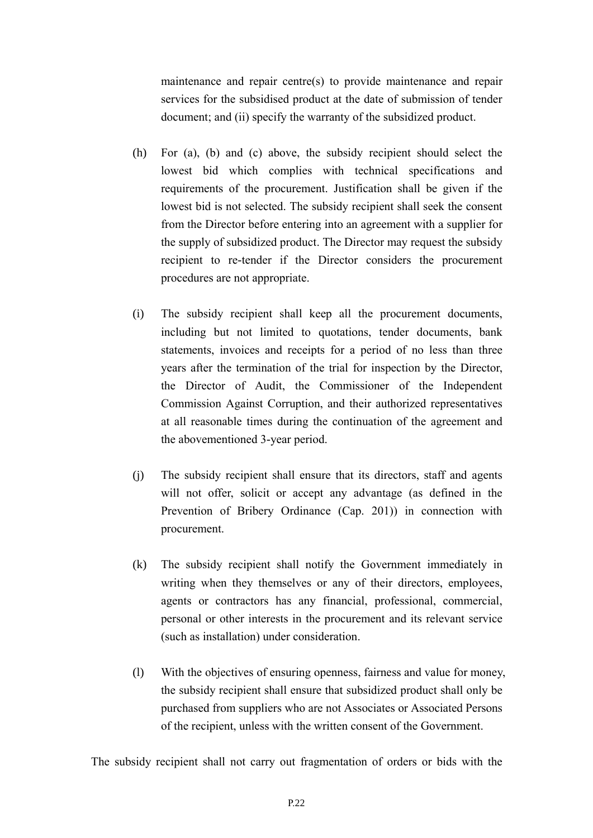maintenance and repair centre(s) to provide maintenance and repair services for the subsidised product at the date of submission of tender document; and (ii) specify the warranty of the subsidized product.

- (h) For (a), (b) and (c) above, the subsidy recipient should select the lowest bid which complies with technical specifications and requirements of the procurement. Justification shall be given if the lowest bid is not selected. The subsidy recipient shall seek the consent from the Director before entering into an agreement with a supplier for the supply of subsidized product. The Director may request the subsidy recipient to re-tender if the Director considers the procurement procedures are not appropriate.
- (i) The subsidy recipient shall keep all the procurement documents, including but not limited to quotations, tender documents, bank statements, invoices and receipts for a period of no less than three years after the termination of the trial for inspection by the Director, the Director of Audit, the Commissioner of the Independent Commission Against Corruption, and their authorized representatives at all reasonable times during the continuation of the agreement and the abovementioned 3-year period.
- (j) The subsidy recipient shall ensure that its directors, staff and agents will not offer, solicit or accept any advantage (as defined in the Prevention of Bribery Ordinance (Cap. 201)) in connection with procurement.
- (k) The subsidy recipient shall notify the Government immediately in writing when they themselves or any of their directors, employees, agents or contractors has any financial, professional, commercial, personal or other interests in the procurement and its relevant service (such as installation) under consideration.
- (l) With the objectives of ensuring openness, fairness and value for money, the subsidy recipient shall ensure that subsidized product shall only be purchased from suppliers who are not Associates or Associated Persons of the recipient, unless with the written consent of the Government.

The subsidy recipient shall not carry out fragmentation of orders or bids with the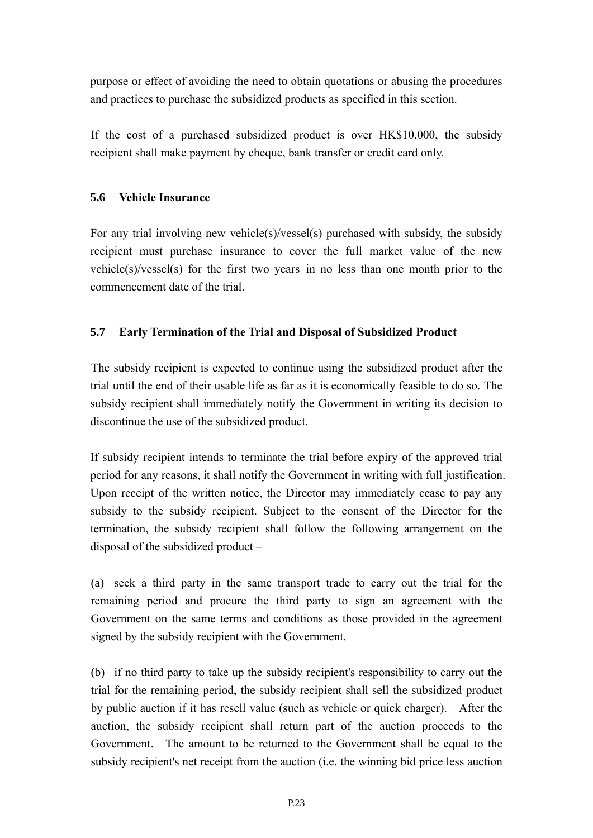purpose or effect of avoiding the need to obtain quotations or abusing the procedures and practices to purchase the subsidized products as specified in this section.

If the cost of a purchased subsidized product is over HK\$10,000, the subsidy recipient shall make payment by cheque, bank transfer or credit card only.

#### **5.6 Vehicle Insurance**

For any trial involving new vehicle(s)/vessel(s) purchased with subsidy, the subsidy recipient must purchase insurance to cover the full market value of the new vehicle(s)/vessel(s) for the first two years in no less than one month prior to the commencement date of the trial.

#### **5.7 Early Termination of the Trial and Disposal of Subsidized Product**

The subsidy recipient is expected to continue using the subsidized product after the trial until the end of their usable life as far as it is economically feasible to do so. The subsidy recipient shall immediately notify the Government in writing its decision to discontinue the use of the subsidized product.

If subsidy recipient intends to terminate the trial before expiry of the approved trial period for any reasons, it shall notify the Government in writing with full justification. Upon receipt of the written notice, the Director may immediately cease to pay any subsidy to the subsidy recipient. Subject to the consent of the Director for the termination, the subsidy recipient shall follow the following arrangement on the disposal of the subsidized product –

(a) seek a third party in the same transport trade to carry out the trial for the remaining period and procure the third party to sign an agreement with the Government on the same terms and conditions as those provided in the agreement signed by the subsidy recipient with the Government.

(b) if no third party to take up the subsidy recipient's responsibility to carry out the trial for the remaining period, the subsidy recipient shall sell the subsidized product by public auction if it has resell value (such as vehicle or quick charger). After the auction, the subsidy recipient shall return part of the auction proceeds to the Government. The amount to be returned to the Government shall be equal to the subsidy recipient's net receipt from the auction (i.e. the winning bid price less auction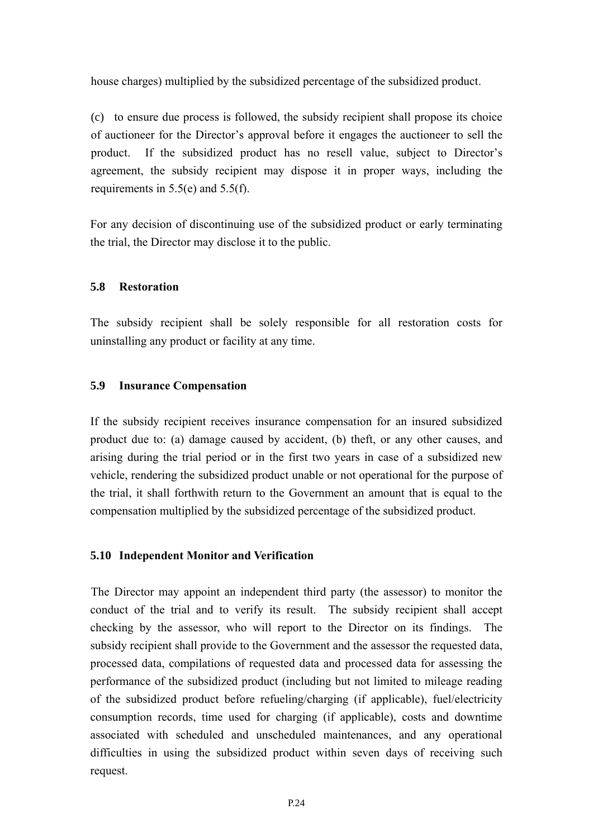house charges) multiplied by the subsidized percentage of the subsidized product.

(c) to ensure due process is followed, the subsidy recipient shall propose its choice of auctioneer for the Director's approval before it engages the auctioneer to sell the product. If the subsidized product has no resell value, subject to Director's agreement, the subsidy recipient may dispose it in proper ways, including the requirements in 5.5(e) and 5.5(f).

For any decision of discontinuing use of the subsidized product or early terminating the trial, the Director may disclose it to the public.

#### **5.8 Restoration**

The subsidy recipient shall be solely responsible for all restoration costs for uninstalling any product or facility at any time.

#### **5.9 Insurance Compensation**

If the subsidy recipient receives insurance compensation for an insured subsidized product due to: (a) damage caused by accident, (b) theft, or any other causes, and arising during the trial period or in the first two years in case of a subsidized new vehicle, rendering the subsidized product unable or not operational for the purpose of the trial, it shall forthwith return to the Government an amount that is equal to the compensation multiplied by the subsidized percentage of the subsidized product.

#### **5.10 Independent Monitor and Verification**

The Director may appoint an independent third party (the assessor) to monitor the conduct of the trial and to verify its result. The subsidy recipient shall accept checking by the assessor, who will report to the Director on its findings. The subsidy recipient shall provide to the Government and the assessor the requested data, processed data, compilations of requested data and processed data for assessing the performance of the subsidized product (including but not limited to mileage reading of the subsidized product before refueling/charging (if applicable), fuel/electricity consumption records, time used for charging (if applicable), costs and downtime associated with scheduled and unscheduled maintenances, and any operational difficulties in using the subsidized product within seven days of receiving such request.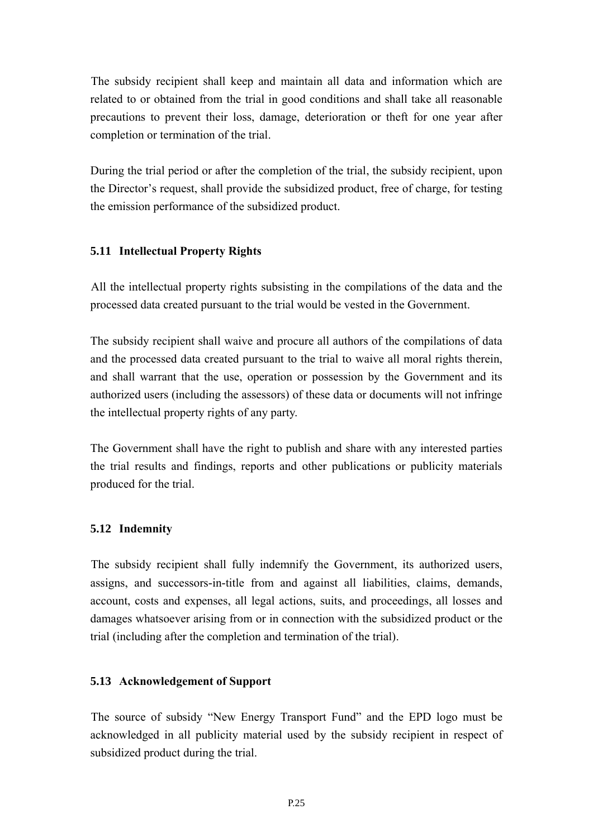The subsidy recipient shall keep and maintain all data and information which are related to or obtained from the trial in good conditions and shall take all reasonable precautions to prevent their loss, damage, deterioration or theft for one year after completion or termination of the trial.

During the trial period or after the completion of the trial, the subsidy recipient, upon the Director's request, shall provide the subsidized product, free of charge, for testing the emission performance of the subsidized product.

#### **5.11 Intellectual Property Rights**

All the intellectual property rights subsisting in the compilations of the data and the processed data created pursuant to the trial would be vested in the Government.

The subsidy recipient shall waive and procure all authors of the compilations of data and the processed data created pursuant to the trial to waive all moral rights therein, and shall warrant that the use, operation or possession by the Government and its authorized users (including the assessors) of these data or documents will not infringe the intellectual property rights of any party.

The Government shall have the right to publish and share with any interested parties the trial results and findings, reports and other publications or publicity materials produced for the trial.

#### **5.12 Indemnity**

The subsidy recipient shall fully indemnify the Government, its authorized users, assigns, and successors-in-title from and against all liabilities, claims, demands, account, costs and expenses, all legal actions, suits, and proceedings, all losses and damages whatsoever arising from or in connection with the subsidized product or the trial (including after the completion and termination of the trial).

#### **5.13 Acknowledgement of Support**

The source of subsidy "New Energy Transport Fund" and the EPD logo must be acknowledged in all publicity material used by the subsidy recipient in respect of subsidized product during the trial.